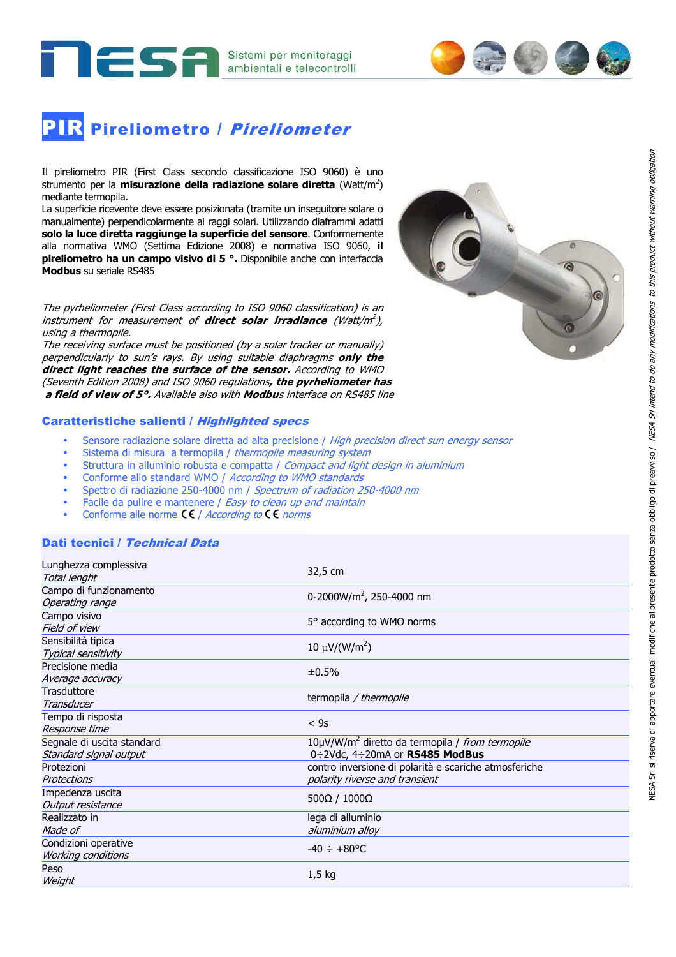Sistemi per monitoraggi



# PIR Pireliometro / Pireliometer

Il pireliometro PIR (First Class secondo classificazione ISO 9060) è uno strumento per la **misurazione della radiazione solare diretta** (Watt/m<sup>2</sup>) mediante termopila.

La superficie ricevente deve essere posizionata (tramite un inseguitore solare o manualmente) perpendicolarmente ai raggi solari. Utilizzando diaframmi adatti **solo la luce diretta raggiunge la superficie del sensore**. Conformemente alla normativa WMO (Settima Edizione 2008) e normativa ISO 9060, **il pireliometro ha un campo visivo di 5 °.** Disponibile anche con interfaccia **Modbus** su seriale RS485

The pyrheliometer (First Class according to ISO 9060 classification) is an instrument for measurement of **direct solar irradiance** (Watt/m 2 ), using a thermopile.

The receiving surface must be positioned (by a solar tracker or manually) perpendicularly to sun's rays. By using suitable diaphragms **only the direct light reaches the surface of the sensor.** According to WMO (Seventh Edition 2008) and ISO 9060 regulations**, the pyrheliometer has a field of view of 5°.** Available also with **Modbu**s interface on RS485 line

### Caratteristiche salienti / Highlighted specs

- Sensore radiazione solare diretta ad alta precisione / High precision direct sun energy sensor
- Sistema di misura a termopila / *thermopile measuring system*
- Struttura in alluminio robusta e compatta / Compact and light design in aluminium
- Conforme allo standard WMO / According to WMO standards
- Spettro di radiazione 250-4000 nm / Spectrum of radiation 250-4000 nm
- Facile da pulire e mantenere / Easy to clean up and maintain
- Conforme alle norme  $\mathsf{CE}/$  According to  $\mathsf{CE}$  norms

# Dati tecnici / Technical Data

| Lunghezza complessiva      | 32,5 cm                                                     |  |  |
|----------------------------|-------------------------------------------------------------|--|--|
| Total lenght               |                                                             |  |  |
| Campo di funzionamento     | 0-2000W/m <sup>2</sup> , 250-4000 nm                        |  |  |
| Operating range            |                                                             |  |  |
| Campo visivo               | 5° according to WMO norms                                   |  |  |
| Field of view              |                                                             |  |  |
| Sensibilità tipica         |                                                             |  |  |
| Typical sensitivity        | $10 \mu V/(W/m^2)$                                          |  |  |
| Precisione media           | ±0.5%                                                       |  |  |
| Average accuracy           |                                                             |  |  |
| Trasduttore                |                                                             |  |  |
| Transducer                 | termopila / thermopile                                      |  |  |
| Tempo di risposta          |                                                             |  |  |
| Response time              | < 9s                                                        |  |  |
| Segnale di uscita standard | 10μV/W/m <sup>2</sup> diretto da termopila / from termopile |  |  |
| Standard signal output     | 0÷2Vdc, 4÷20mA or RS485 ModBus                              |  |  |
| Protezioni                 | contro inversione di polarità e scariche atmosferiche       |  |  |
| Protections                | polarity riverse and transient                              |  |  |
| Impedenza uscita           |                                                             |  |  |
| Output resistance          | $500\Omega / 1000\Omega$                                    |  |  |
| Realizzato in              | lega di alluminio                                           |  |  |
| Made of                    | aluminium alloy                                             |  |  |
| Condizioni operative       |                                                             |  |  |
| Working conditions         | $-40 \div +80$ °C                                           |  |  |
| Peso                       |                                                             |  |  |
| Weight                     | $1,5$ kg                                                    |  |  |